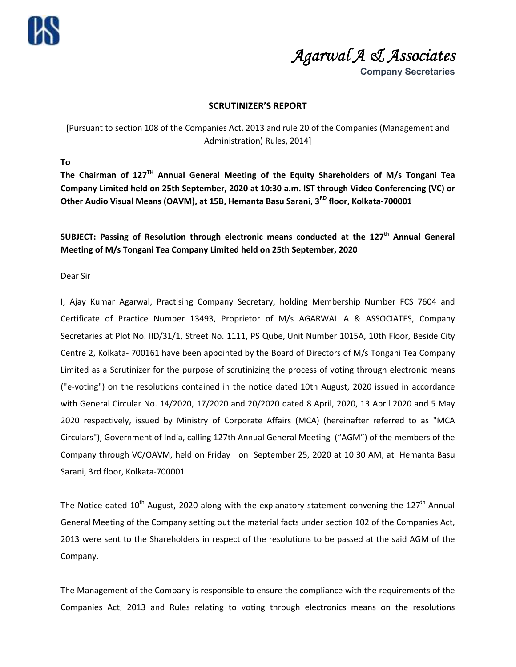*Agarwal A & Associates Agarwal A & AssociatesAgarwal A Associates* 

**Company Secretaries**

## **SCRUTINIZER'S REPORT**

[Pursuant to section 108 of the Companies Act, 2013 and rule 20 of the Companies (Management and Administration) Rules, 2014]

**To** 

**The Chairman of 127TH Annual General Meeting of the Equity Shareholders of M/s Tongani Tea Company Limited held on 25th September, 2020 at 10:30 a.m. IST through Video Conferencing (VC) or Other Audio Visual Means (OAVM), at 15B, Hemanta Basu Sarani, 3RD floor, Kolkata-700001** 

**SUBJECT: Passing of Resolution through electronic means conducted at the 127th Annual General Meeting of M/s Tongani Tea Company Limited held on 25th September, 2020** 

Dear Sir

I, Ajay Kumar Agarwal, Practising Company Secretary, holding Membership Number FCS 7604 and Certificate of Practice Number 13493, Proprietor of M/s AGARWAL A & ASSOCIATES, Company Secretaries at Plot No. IID/31/1, Street No. 1111, PS Qube, Unit Number 1015A, 10th Floor, Beside City Centre 2, Kolkata- 700161 have been appointed by the Board of Directors of M/s Tongani Tea Company Limited as a Scrutinizer for the purpose of scrutinizing the process of voting through electronic means ("e-voting") on the resolutions contained in the notice dated 10th August, 2020 issued in accordance with General Circular No. 14/2020, 17/2020 and 20/2020 dated 8 April, 2020, 13 April 2020 and 5 May 2020 respectively, issued by Ministry of Corporate Affairs (MCA) (hereinafter referred to as "MCA Circulars"), Government of India, calling 127th Annual General Meeting ("AGM") of the members of the Company through VC/OAVM, held on Friday on September 25, 2020 at 10:30 AM, at Hemanta Basu Sarani, 3rd floor, Kolkata-700001

The Notice dated  $10<sup>th</sup>$  August, 2020 along with the explanatory statement convening the  $127<sup>th</sup>$  Annual General Meeting of the Company setting out the material facts under section 102 of the Companies Act, 2013 were sent to the Shareholders in respect of the resolutions to be passed at the said AGM of the Company.

The Management of the Company is responsible to ensure the compliance with the requirements of the Companies Act, 2013 and Rules relating to voting through electronics means on the resolutions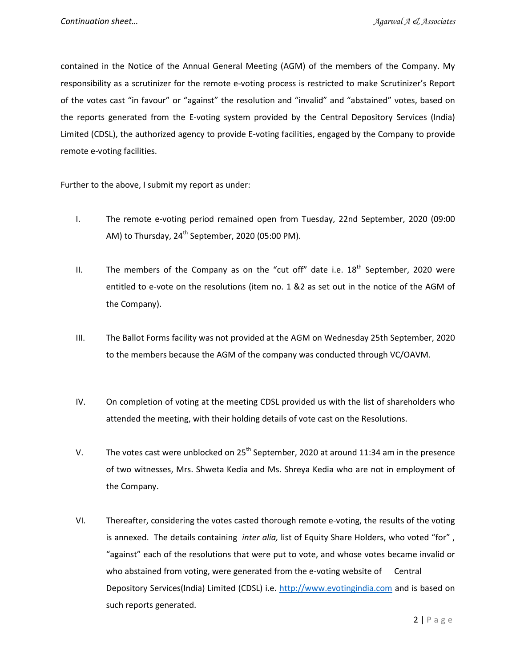contained in the Notice of the Annual General Meeting (AGM) of the members of the Company. My responsibility as a scrutinizer for the remote e-voting process is restricted to make Scrutinizer's Report of the votes cast "in favour" or "against" the resolution and "invalid" and "abstained" votes, based on the reports generated from the E-voting system provided by the Central Depository Services (India) Limited (CDSL), the authorized agency to provide E-voting facilities, engaged by the Company to provide remote e-voting facilities.

Further to the above, I submit my report as under:

- I. The remote e-voting period remained open from Tuesday, 22nd September, 2020 (09:00 AM) to Thursday,  $24<sup>th</sup>$  September, 2020 (05:00 PM).
- II. The members of the Company as on the "cut off" date i.e.  $18<sup>th</sup>$  September, 2020 were entitled to e-vote on the resolutions (item no. 1 &2 as set out in the notice of the AGM of the Company).
- III. The Ballot Forms facility was not provided at the AGM on Wednesday 25th September, 2020 to the members because the AGM of the company was conducted through VC/OAVM.
- IV. On completion of voting at the meeting CDSL provided us with the list of shareholders who attended the meeting, with their holding details of vote cast on the Resolutions.
- V. The votes cast were unblocked on  $25<sup>th</sup>$  September, 2020 at around 11:34 am in the presence of two witnesses, Mrs. Shweta Kedia and Ms. Shreya Kedia who are not in employment of the Company.
- VI. Thereafter, considering the votes casted thorough remote e-voting, the results of the voting is annexed. The details containing *inter alia,* list of Equity Share Holders, who voted "for" , "against" each of the resolutions that were put to vote, and whose votes became invalid or who abstained from voting, were generated from the e-voting website of Central Depository Services(India) Limited (CDSL) i.e. http://www.evotingindia.com and is based on such reports generated.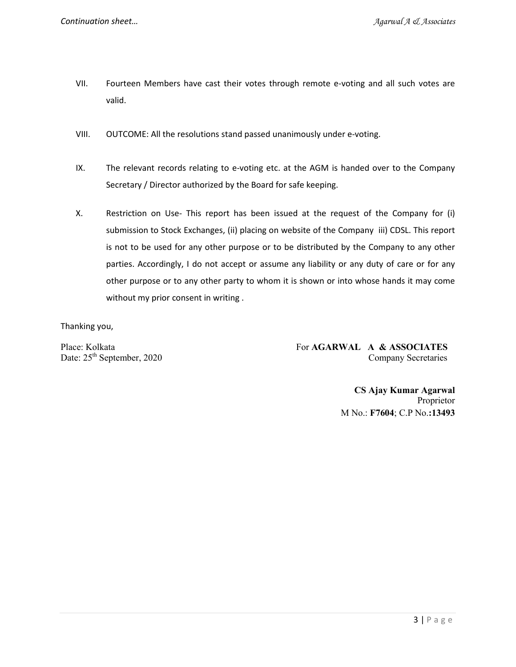- VII. Fourteen Members have cast their votes through remote e-voting and all such votes are valid.
- VIII. OUTCOME: All the resolutions stand passed unanimously under e-voting.
- IX. The relevant records relating to e-voting etc. at the AGM is handed over to the Company Secretary / Director authorized by the Board for safe keeping.
- X. Restriction on Use- This report has been issued at the request of the Company for (i) submission to Stock Exchanges, (ii) placing on website of the Company iii) CDSL. This report is not to be used for any other purpose or to be distributed by the Company to any other parties. Accordingly, I do not accept or assume any liability or any duty of care or for any other purpose or to any other party to whom it is shown or into whose hands it may come without my prior consent in writing .

Thanking you,

Place: Kolkata For **AGARWAL A & ASSOCIATES** Date:  $25<sup>th</sup>$  September, 2020 Company Secretaries

> **CS Ajay Kumar Agarwal**  Proprietor M No.: **F7604**; C.P No.**:13493**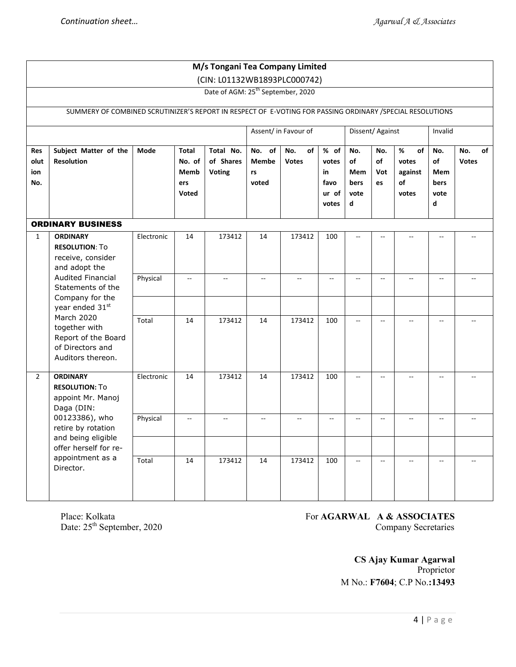| M/s Tongani Tea Company Limited                                               |                                                                                                                                                                                                                                                                      |            |                                                |                                         |                                |                           |                                               |                                       |                        |                                            |                                       |                           |
|-------------------------------------------------------------------------------|----------------------------------------------------------------------------------------------------------------------------------------------------------------------------------------------------------------------------------------------------------------------|------------|------------------------------------------------|-----------------------------------------|--------------------------------|---------------------------|-----------------------------------------------|---------------------------------------|------------------------|--------------------------------------------|---------------------------------------|---------------------------|
| (CIN: L01132WB1893PLC000742)<br>Date of AGM: 25 <sup>th</sup> September, 2020 |                                                                                                                                                                                                                                                                      |            |                                                |                                         |                                |                           |                                               |                                       |                        |                                            |                                       |                           |
|                                                                               |                                                                                                                                                                                                                                                                      |            |                                                |                                         |                                |                           |                                               |                                       |                        |                                            |                                       |                           |
|                                                                               | SUMMERY OF COMBINED SCRUTINIZER'S REPORT IN RESPECT OF E-VOTING FOR PASSING ORDINARY / SPECIAL RESOLUTIONS                                                                                                                                                           |            |                                                |                                         |                                |                           |                                               |                                       |                        |                                            |                                       |                           |
|                                                                               |                                                                                                                                                                                                                                                                      |            |                                                |                                         |                                | Assent/ in Favour of      |                                               | Dissent/Against                       |                        |                                            | Invalid                               |                           |
| Res<br>olut<br>ion<br>No.                                                     | Subject Matter of the<br><b>Resolution</b>                                                                                                                                                                                                                           | Mode       | <b>Total</b><br>No. of<br>Memb<br>ers<br>Voted | Total No.<br>of Shares<br><b>Voting</b> | No. of<br>Membe<br>rs<br>voted | No.<br>of<br><b>Votes</b> | % of<br>votes<br>in<br>favo<br>ur of<br>votes | No.<br>of<br>Mem<br>bers<br>vote<br>d | No.<br>of<br>Vot<br>es | %<br>of<br>votes<br>against<br>of<br>votes | No.<br>of<br>Mem<br>bers<br>vote<br>d | No.<br>of<br><b>Votes</b> |
|                                                                               | <b>ORDINARY BUSINESS</b>                                                                                                                                                                                                                                             |            |                                                |                                         |                                |                           |                                               |                                       |                        |                                            |                                       |                           |
| $\mathbf{1}$                                                                  | <b>ORDINARY</b><br><b>RESOLUTION: To</b><br>receive, consider<br>and adopt the<br><b>Audited Financial</b><br>Statements of the<br>Company for the<br>year ended 31st<br>March 2020<br>together with<br>Report of the Board<br>of Directors and<br>Auditors thereon. | Electronic | 14                                             | 173412                                  | 14                             | 173412                    | 100                                           | $\sim$                                |                        | ۵.                                         | $\overline{\phantom{a}}$              |                           |
|                                                                               |                                                                                                                                                                                                                                                                      | Physical   | $-$                                            |                                         |                                | $-$                       |                                               |                                       |                        | $-$                                        | $-$                                   |                           |
|                                                                               |                                                                                                                                                                                                                                                                      |            |                                                |                                         |                                |                           |                                               |                                       |                        |                                            |                                       |                           |
|                                                                               |                                                                                                                                                                                                                                                                      | Total      | 14                                             | 173412                                  | 14                             | 173412                    | 100                                           | $-$                                   | $- -$                  |                                            | $\overline{\phantom{a}}$              |                           |
| $\overline{2}$                                                                | <b>ORDINARY</b><br><b>RESOLUTION: To</b><br>appoint Mr. Manoj<br>Daga (DIN:<br>00123386), who<br>retire by rotation<br>and being eligible<br>offer herself for re-<br>appointment as a<br>Director.                                                                  | Electronic | 14                                             | 173412                                  | 14                             | 173412                    | 100                                           | ÷÷                                    | $-$                    | $\overline{a}$                             | $\mathbf{u}$                          | Щ,                        |
|                                                                               |                                                                                                                                                                                                                                                                      | Physical   | Ξ.                                             |                                         | $\overline{a}$                 | $\overline{a}$            |                                               | $-$                                   | $\sim$                 | $-$                                        | $\overline{\phantom{a}}$              | $\overline{a}$            |
|                                                                               |                                                                                                                                                                                                                                                                      |            |                                                |                                         |                                |                           |                                               |                                       |                        |                                            |                                       |                           |
|                                                                               |                                                                                                                                                                                                                                                                      | Total      | 14                                             | 173412                                  | 14                             | 173412                    | 100                                           | $\overline{\phantom{a}}$              | $-$                    | --                                         | $\overline{\phantom{a}}$              |                           |

Place: Kolkata<br>Date: 25<sup>th</sup> September, 2020

## For **AGARWAL A & ASSOCIATES**<br>Company Secretaries

 **CS Ajay Kumar Agarwal**  Proprietor M No.: **F7604**; C.P No.**:13493**